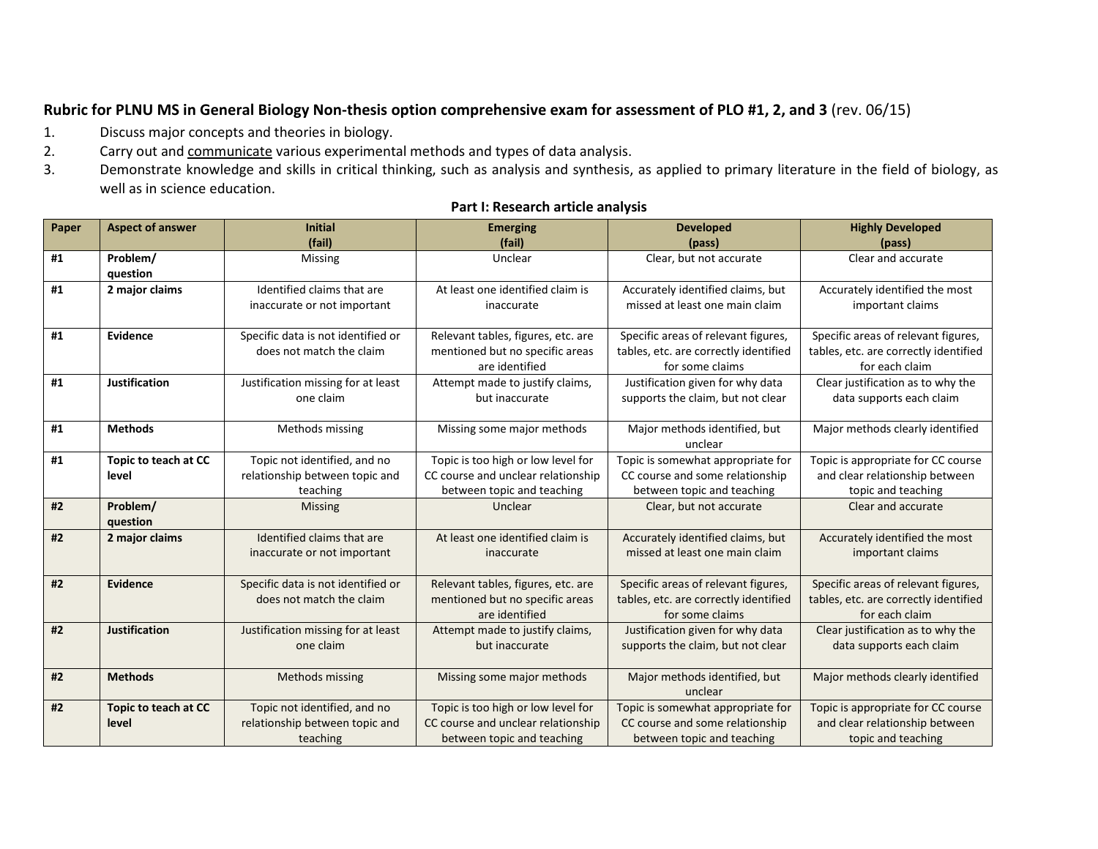## **Rubric for PLNU MS in General Biology Non-thesis option comprehensive exam for assessment of PLO #1, 2, and 3** (rev. 06/15)

- 1. Discuss major concepts and theories in biology.
- 2. Carry out and communicate various experimental methods and types of data analysis.
- 3. Demonstrate knowledge and skills in critical thinking, such as analysis and synthesis, as applied to primary literature in the field of biology, as well as in science education.

| Paper | <b>Aspect of answer</b> | <b>Initial</b><br>(fail)           | <b>Emerging</b><br>(fail)          | <b>Developed</b><br>(pass)               | <b>Highly Developed</b>               |
|-------|-------------------------|------------------------------------|------------------------------------|------------------------------------------|---------------------------------------|
| #1    | Problem/                | Missing                            | Unclear                            | Clear, but not accurate                  | (pass)<br>Clear and accurate          |
|       | question                |                                    |                                    |                                          |                                       |
| #1    | 2 major claims          | Identified claims that are         | At least one identified claim is   | Accurately identified claims, but        | Accurately identified the most        |
|       |                         | inaccurate or not important        | inaccurate                         | missed at least one main claim           | important claims                      |
| #1    | Evidence                | Specific data is not identified or | Relevant tables, figures, etc. are | Specific areas of relevant figures,      | Specific areas of relevant figures,   |
|       |                         | does not match the claim           | mentioned but no specific areas    | tables, etc. are correctly identified    | tables, etc. are correctly identified |
|       |                         |                                    | are identified                     | for some claims                          | for each claim                        |
| #1    | <b>Justification</b>    | Justification missing for at least | Attempt made to justify claims,    | Justification given for why data         | Clear justification as to why the     |
|       |                         | one claim                          | but inaccurate                     | supports the claim, but not clear        | data supports each claim              |
| #1    | <b>Methods</b>          | Methods missing                    | Missing some major methods         | Major methods identified, but            | Major methods clearly identified      |
|       |                         |                                    |                                    | unclear                                  |                                       |
| #1    | Topic to teach at CC    | Topic not identified, and no       | Topic is too high or low level for | Topic is somewhat appropriate for        | Topic is appropriate for CC course    |
|       | level                   | relationship between topic and     | CC course and unclear relationship | CC course and some relationship          | and clear relationship between        |
|       |                         | teaching                           | between topic and teaching         | between topic and teaching               | topic and teaching                    |
| #2    | Problem/                | <b>Missing</b>                     | Unclear                            | Clear, but not accurate                  | Clear and accurate                    |
|       | question                |                                    |                                    |                                          |                                       |
| #2    | 2 major claims          | Identified claims that are         | At least one identified claim is   | Accurately identified claims, but        | Accurately identified the most        |
|       |                         | inaccurate or not important        | inaccurate                         | missed at least one main claim           | important claims                      |
| #2    | <b>Evidence</b>         | Specific data is not identified or | Relevant tables, figures, etc. are | Specific areas of relevant figures,      | Specific areas of relevant figures,   |
|       |                         | does not match the claim           | mentioned but no specific areas    | tables, etc. are correctly identified    | tables, etc. are correctly identified |
|       |                         |                                    | are identified                     | for some claims                          | for each claim                        |
| #2    | <b>Justification</b>    | Justification missing for at least | Attempt made to justify claims,    | Justification given for why data         | Clear justification as to why the     |
|       |                         | one claim                          | but inaccurate                     | supports the claim, but not clear        | data supports each claim              |
|       |                         |                                    |                                    |                                          |                                       |
| #2    | <b>Methods</b>          | Methods missing                    | Missing some major methods         | Major methods identified, but<br>unclear | Major methods clearly identified      |
| #2    | Topic to teach at CC    | Topic not identified, and no       | Topic is too high or low level for | Topic is somewhat appropriate for        | Topic is appropriate for CC course    |
|       | level                   | relationship between topic and     | CC course and unclear relationship | CC course and some relationship          | and clear relationship between        |
|       |                         | teaching                           | between topic and teaching         | between topic and teaching               | topic and teaching                    |

## **Part I: Research article analysis**